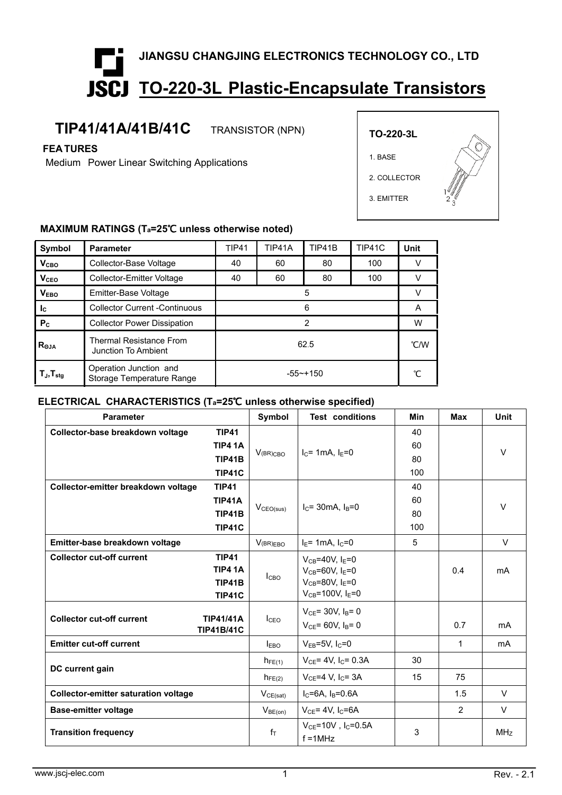# **JIANGSU CHANGJING ELECTRONICS TECHNOLOGY CO., LTD TO-220-3L Plastic-Encapsulate Transistors**

## **TIP41/41A/41B/41C** TRANSISTOR (NPN)

**FEA TURES**

Medium Power Linear Switching Applications



#### **MAXIMUM RATINGS (Ta=25**℃ **unless otherwise noted)**

| Symbol                                               | <b>Parameter</b>                                      | <b>TIP41</b> | TIP41A | TIP41B | TIP41C | Unit |
|------------------------------------------------------|-------------------------------------------------------|--------------|--------|--------|--------|------|
| V <sub>CBO</sub>                                     | Collector-Base Voltage                                | 40           | 60     | 80     | 100    |      |
| <b>V<sub>CEO</sub></b>                               | <b>Collector-Emitter Voltage</b>                      | 40           | 60     | 80     | 100    |      |
| <b>VEBO</b>                                          | Emitter-Base Voltage                                  | 5            |        |        |        |      |
| $\mathsf{I}_{\mathsf{C}}$                            | <b>Collector Current -Continuous</b>                  | 6            |        |        | A      |      |
| P <sub>c</sub>                                       | <b>Collector Power Dissipation</b>                    | 2            |        |        | W      |      |
| $R_{\Theta$ JA                                       | <b>Thermal Resistance From</b><br>Junction To Ambient | 62.5         |        |        |        | °C/W |
| $\mathsf{T}_{\mathsf{J}}, \mathsf{T}_{\mathsf{stg}}$ | Operation Junction and<br>Storage Temperature Range   | $-55$ ~+150  |        |        |        |      |

#### **ELECTRICAL CHARACTERISTICS (Ta=25**℃ **unless otherwise specified)**

| <b>Parameter</b>                                                                              | Symbol                | <b>Test conditions</b>                                                                                             | Min | Max           | Unit            |
|-----------------------------------------------------------------------------------------------|-----------------------|--------------------------------------------------------------------------------------------------------------------|-----|---------------|-----------------|
| <b>TIP41</b><br>Collector-base breakdown voltage                                              |                       |                                                                                                                    | 40  |               | $\vee$          |
| <b>TIP4 1A</b>                                                                                | $V(BR)$ CBO           | $I_C$ = 1mA, $I_E$ =0                                                                                              | 60  |               |                 |
| <b>TIP41B</b>                                                                                 |                       |                                                                                                                    | 80  |               |                 |
| <b>TIP41C</b>                                                                                 |                       |                                                                                                                    | 100 |               |                 |
| Collector-emitter breakdown voltage<br><b>TIP41</b>                                           |                       | $I_c = 30mA$ , $I_B = 0$                                                                                           | 40  |               | $\vee$          |
| <b>TIP41A</b>                                                                                 | V <sub>CEO(sus)</sub> |                                                                                                                    | 60  |               |                 |
| <b>TIP41B</b>                                                                                 |                       |                                                                                                                    | 80  |               |                 |
| <b>TIP41C</b>                                                                                 |                       |                                                                                                                    | 100 |               |                 |
| Emitter-base breakdown voltage                                                                | V(BR)EBO              | $I_E$ = 1mA, $I_C$ =0                                                                                              | 5   |               | $\vee$          |
| <b>Collector cut-off current</b><br><b>TIP41</b><br><b>TIP4 1A</b><br>TIP41B<br><b>TIP41C</b> | I <sub>CBO</sub>      | $V_{CB} = 40V$ , $I_E = 0$<br>$V_{CB} = 60V$ , $I_E = 0$<br>$V_{CB} = 80V$ , $I_E = 0$<br>$V_{CB} = 100V, I_E = 0$ |     | 0.4           | mA              |
| <b>Collector cut-off current</b><br><b>TIP41/41A</b><br><b>TIP41B/41C</b>                     | I <sub>CEO</sub>      | $V_{CE}$ = 30V, $I_B$ = 0<br>$V_{CE}$ = 60V, $I_B$ = 0                                                             |     | 0.7           | mA              |
| <b>Emitter cut-off current</b>                                                                | $I_{EBO}$             | $V_{EB} = 5V$ , $I_C = 0$                                                                                          |     | $\mathbf{1}$  | mA              |
|                                                                                               | $h_{FE(1)}$           | $V_{CE} = 4V$ , I <sub>C</sub> = 0.3A                                                                              | 30  |               |                 |
| DC current gain                                                                               | $h_{FE(2)}$           | $V_{CE} = 4 V$ , $I_C = 3A$                                                                                        | 15  | 75            |                 |
| <b>Collector-emitter saturation voltage</b>                                                   | $V_{CE(sat)}$         | $I_C = 6A$ , $I_B = 0.6A$                                                                                          |     | 1.5           | $\vee$          |
| <b>Base-emitter voltage</b>                                                                   | $V_{BE(on)}$          | $V_{CE} = 4V$ , I <sub>C</sub> =6A                                                                                 |     | $\mathcal{P}$ | $\vee$          |
| <b>Transition frequency</b>                                                                   | $f_T$                 | $V_{CE}$ =10V, I <sub>C</sub> =0.5A<br>$f = 1$ MHz                                                                 | 3   |               | MH <sub>Z</sub> |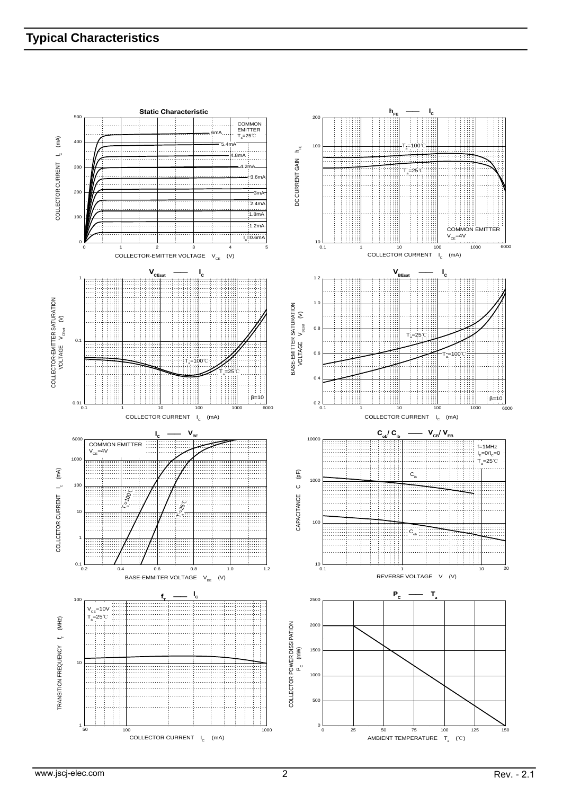### **Typical Characteristics**